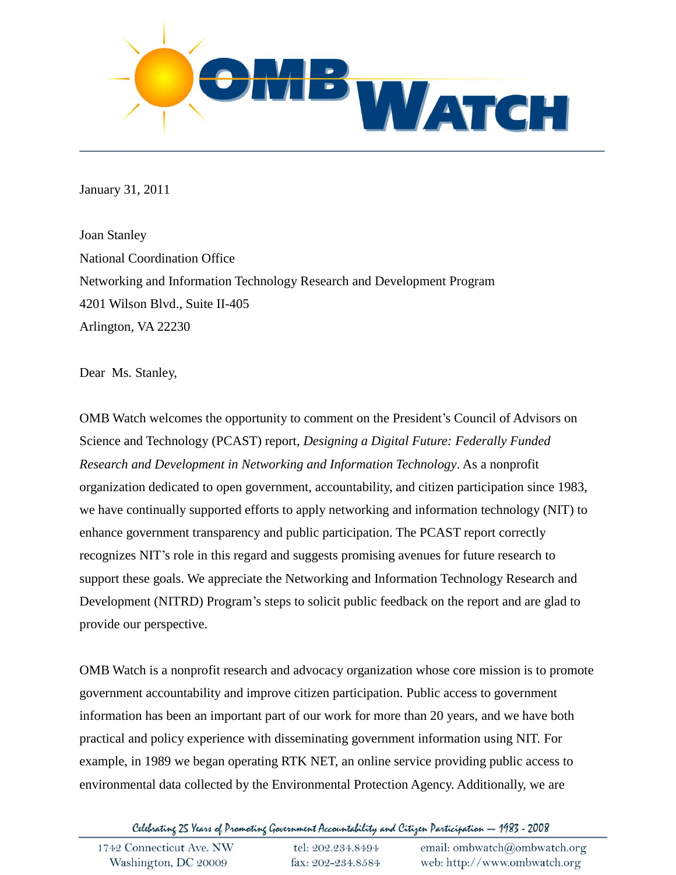

January 31, 2011

Joan Stanley National Coordination Office Networking and Information Technology Research and Development Program 4201 Wilson Blvd., Suite II-405 Arlington, VA 22230

Dear Ms. Stanley,

OMB Watch welcomes the opportunity to comment on the President's Council of Advisors on Science and Technology (PCAST) report, *Designing a Digital Future: Federally Funded Research and Development in Networking and Information Technology*. As a nonprofit organization dedicated to open government, accountability, and citizen participation since 1983, we have continually supported efforts to apply networking and information technology (NIT) to enhance government transparency and public participation. The PCAST report correctly recognizes NIT's role in this regard and suggests promising avenues for future research to support these goals. We appreciate the Networking and Information Technology Research and Development (NITRD) Program's steps to solicit public feedback on the report and are glad to provide our perspective.

OMB Watch is a nonprofit research and advocacy organization whose core mission is to promote government accountability and improve citizen participation. Public access to government information has been an important part of our work for more than 20 years, and we have both practical and policy experience with disseminating government information using NIT. For example, in 1989 we began operating RTK NET, an online service providing public access to environmental data collected by the Environmental Protection Agency. Additionally, we are

Celebrating 25 Years of Promoting Government Accountability and Citizen Participation — 1983 - 2008

| 1742 Connecticut Ave. NW | tel: 202.234.8494 | email: ombwatch@ombwatch.org |
|--------------------------|-------------------|------------------------------|
| Washington, DC 20009     | fax: 202-234.8584 | web: http://www.ombwatch.org |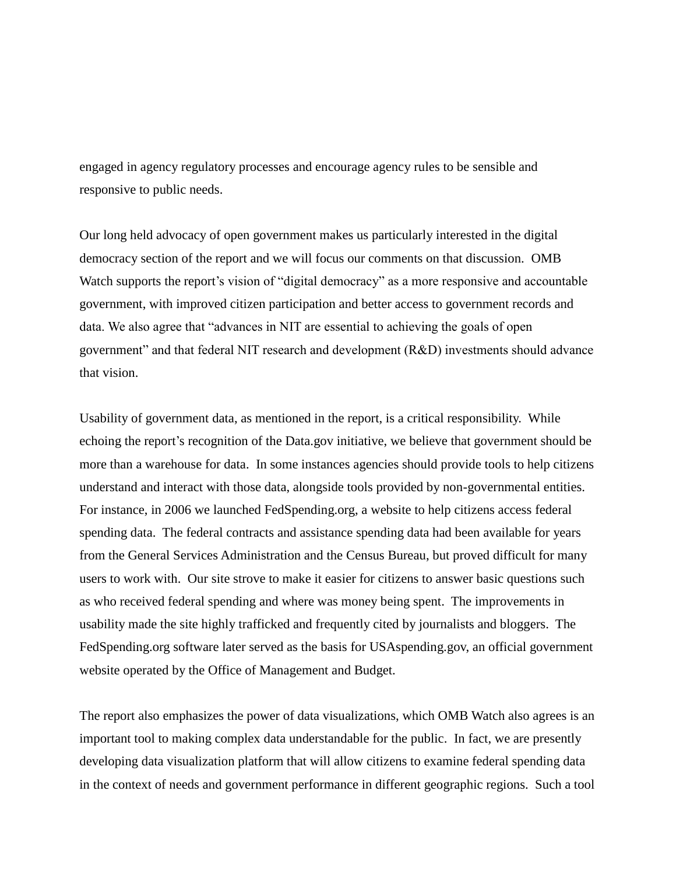engaged in agency regulatory processes and encourage agency rules to be sensible and responsive to public needs.

Our long held advocacy of open government makes us particularly interested in the digital democracy section of the report and we will focus our comments on that discussion. OMB Watch supports the report's vision of "digital democracy" as a more responsive and accountable government, with improved citizen participation and better access to government records and data. We also agree that "advances in NIT are essential to achieving the goals of open government" and that federal NIT research and development (R&D) investments should advance that vision.

Usability of government data, as mentioned in the report, is a critical responsibility. While echoing the report's recognition of the Data.gov initiative, we believe that government should be more than a warehouse for data. In some instances agencies should provide tools to help citizens understand and interact with those data, alongside tools provided by non-governmental entities. For instance, in 2006 we launched FedSpending.org, a website to help citizens access federal spending data. The federal contracts and assistance spending data had been available for years from the General Services Administration and the Census Bureau, but proved difficult for many users to work with. Our site strove to make it easier for citizens to answer basic questions such as who received federal spending and where was money being spent. The improvements in usability made the site highly trafficked and frequently cited by journalists and bloggers. The FedSpending.org software later served as the basis for USAspending.gov, an official government website operated by the Office of Management and Budget.

The report also emphasizes the power of data visualizations, which OMB Watch also agrees is an important tool to making complex data understandable for the public. In fact, we are presently developing data visualization platform that will allow citizens to examine federal spending data in the context of needs and government performance in different geographic regions. Such a tool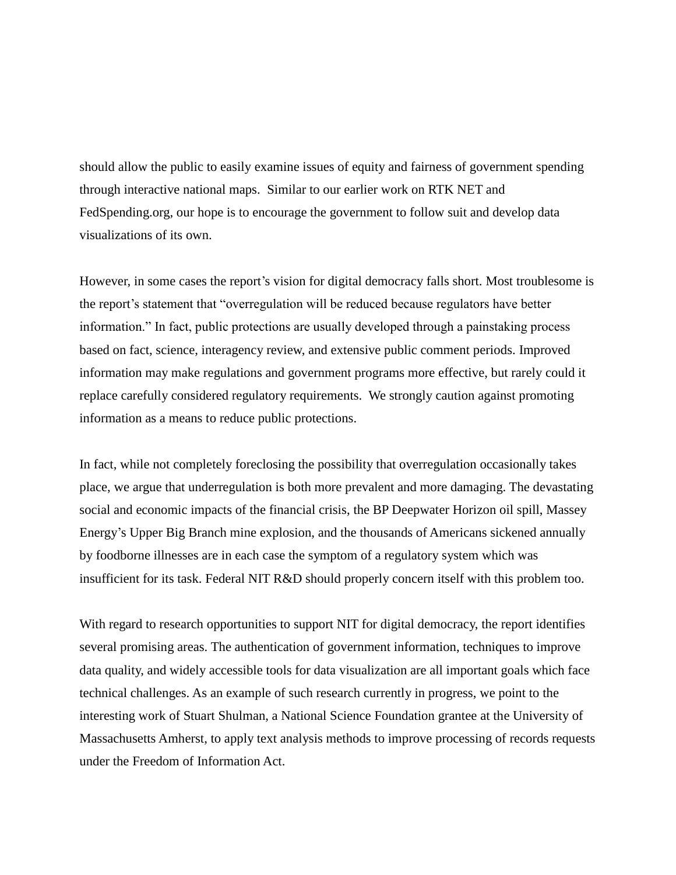should allow the public to easily examine issues of equity and fairness of government spending through interactive national maps. Similar to our earlier work on RTK NET and FedSpending.org, our hope is to encourage the government to follow suit and develop data visualizations of its own.

However, in some cases the report's vision for digital democracy falls short. Most troublesome is the report's statement that "overregulation will be reduced because regulators have better information." In fact, public protections are usually developed through a painstaking process based on fact, science, interagency review, and extensive public comment periods. Improved information may make regulations and government programs more effective, but rarely could it replace carefully considered regulatory requirements. We strongly caution against promoting information as a means to reduce public protections.

In fact, while not completely foreclosing the possibility that overregulation occasionally takes place, we argue that underregulation is both more prevalent and more damaging. The devastating social and economic impacts of the financial crisis, the BP Deepwater Horizon oil spill, Massey Energy's Upper Big Branch mine explosion, and the thousands of Americans sickened annually by foodborne illnesses are in each case the symptom of a regulatory system which was insufficient for its task. Federal NIT R&D should properly concern itself with this problem too.

With regard to research opportunities to support NIT for digital democracy, the report identifies several promising areas. The authentication of government information, techniques to improve data quality, and widely accessible tools for data visualization are all important goals which face technical challenges. As an example of such research currently in progress, we point to the interesting work of Stuart Shulman, a National Science Foundation grantee at the University of Massachusetts Amherst, to apply text analysis methods to improve processing of records requests under the Freedom of Information Act.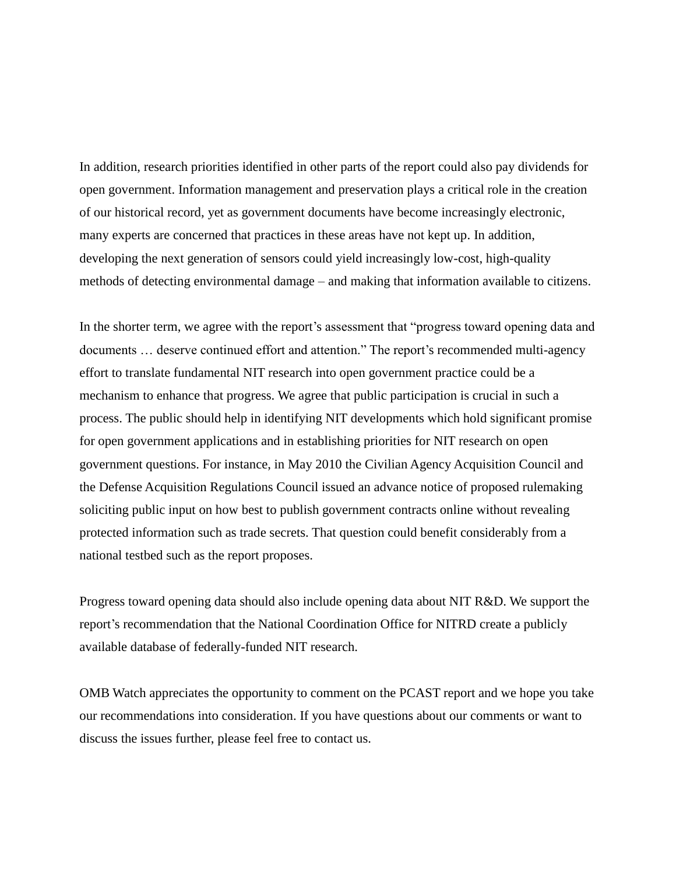In addition, research priorities identified in other parts of the report could also pay dividends for open government. Information management and preservation plays a critical role in the creation of our historical record, yet as government documents have become increasingly electronic, many experts are concerned that practices in these areas have not kept up. In addition, developing the next generation of sensors could yield increasingly low-cost, high-quality methods of detecting environmental damage – and making that information available to citizens.

In the shorter term, we agree with the report's assessment that "progress toward opening data and documents … deserve continued effort and attention." The report's recommended multi-agency effort to translate fundamental NIT research into open government practice could be a mechanism to enhance that progress. We agree that public participation is crucial in such a process. The public should help in identifying NIT developments which hold significant promise for open government applications and in establishing priorities for NIT research on open government questions. For instance, in May 2010 the Civilian Agency Acquisition Council and the Defense Acquisition Regulations Council issued an advance notice of proposed rulemaking soliciting public input on how best to publish government contracts online without revealing protected information such as trade secrets. That question could benefit considerably from a national testbed such as the report proposes.

Progress toward opening data should also include opening data about NIT R&D. We support the report's recommendation that the National Coordination Office for NITRD create a publicly available database of federally-funded NIT research.

OMB Watch appreciates the opportunity to comment on the PCAST report and we hope you take our recommendations into consideration. If you have questions about our comments or want to discuss the issues further, please feel free to contact us.